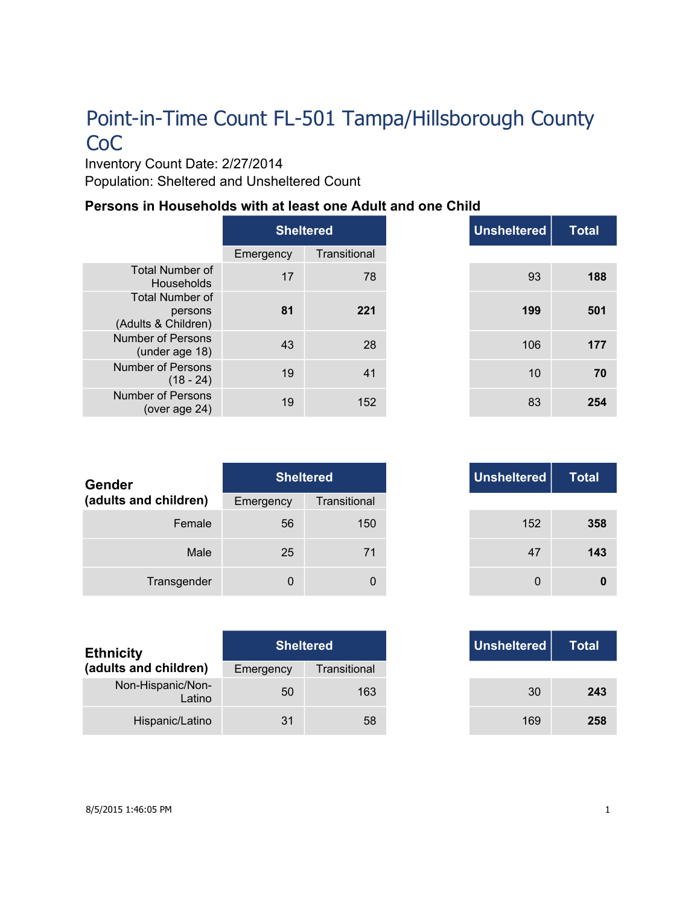Inventory Count Date: 2/27/2014 Population: Sheltered and Unsheltered Count

#### **Persons in Households with at least one Adult and one Child**

|                                                          | <b>Sheltered</b> |              |
|----------------------------------------------------------|------------------|--------------|
|                                                          | Emergency        | Transitional |
| <b>Total Number of</b><br>Households                     | 17               | 78           |
| <b>Total Number of</b><br>persons<br>(Adults & Children) | 81               | 221          |
| Number of Persons<br>(under age 18)                      | 43               | 28           |
| <b>Number of Persons</b><br>$(18 - 24)$                  | 19               | 41           |
| Number of Persons<br>(over age 24)                       | 19               | 152          |

| <b>Total</b> | <b>Unsheltered</b> | <b>Sheltered</b> |     |
|--------------|--------------------|------------------|-----|
|              |                    | Transitional     | าcy |
| 188          | 93                 | 78               | 17  |
| 501          | 199                | 221              | 81  |
| 177          | 106                | 28               | 43  |
| 70           | 10                 | 41               | 19  |
| 254          | 83                 | 152              | 19  |

| <b>Gender</b>         | <b>Sheltered</b> |              | Unsheltered |
|-----------------------|------------------|--------------|-------------|
| (adults and children) | Emergency        | Transitional |             |
| Female                | 56               | 150          | 152         |
| Male                  | 25               | 71           | 47          |
| Transgender           | 0                | 0            | 0           |

| <b>Ethnicity</b>            | <b>Sheltered</b> |              |
|-----------------------------|------------------|--------------|
| (adults and children)       | Emergency        | Transitional |
| Non-Hispanic/Non-<br>Latino | 50               | 163          |
| Hispanic/Latino             | 31               | 58           |

|          | <b>Sheltered</b> |
|----------|------------------|
| าсу      | Transitional     |
| 56       | 150              |
| 25       | 71               |
| $\Omega$ | 0                |

|     | <b>Sheltered</b> |
|-----|------------------|
| ٦CV | Transitional     |
| 50  | 163              |
| 31  | 58               |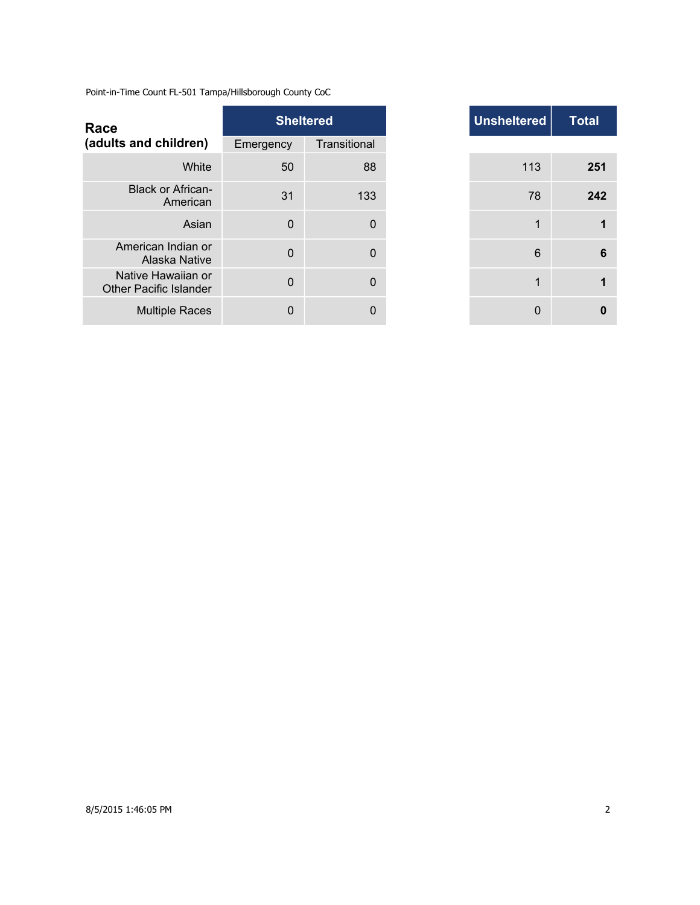| Race                                                |             | <b>Sheltered</b> |  | <b>Unsheltered</b> |
|-----------------------------------------------------|-------------|------------------|--|--------------------|
| (adults and children)                               | Emergency   | Transitional     |  |                    |
| White                                               | 50          | 88               |  | 113                |
| <b>Black or African-</b><br>American                | 31          | 133              |  | 78                 |
| Asian                                               | $\mathbf 0$ | $\mathbf 0$      |  | 1                  |
| American Indian or<br>Alaska Native                 | $\Omega$    | $\Omega$         |  | 6                  |
| Native Hawaiian or<br><b>Other Pacific Islander</b> | $\Omega$    | $\Omega$         |  | 1                  |
| <b>Multiple Races</b>                               | $\mathbf 0$ | 0                |  | 0                  |

|                | <b>Sheltered</b> |
|----------------|------------------|
| าcy            | Transitional     |
| 50             | 88               |
| 31             | 133              |
| $\Omega$       | 0                |
| $\overline{0}$ | 0                |
| $\overline{0}$ | 0                |
| 0              | 0                |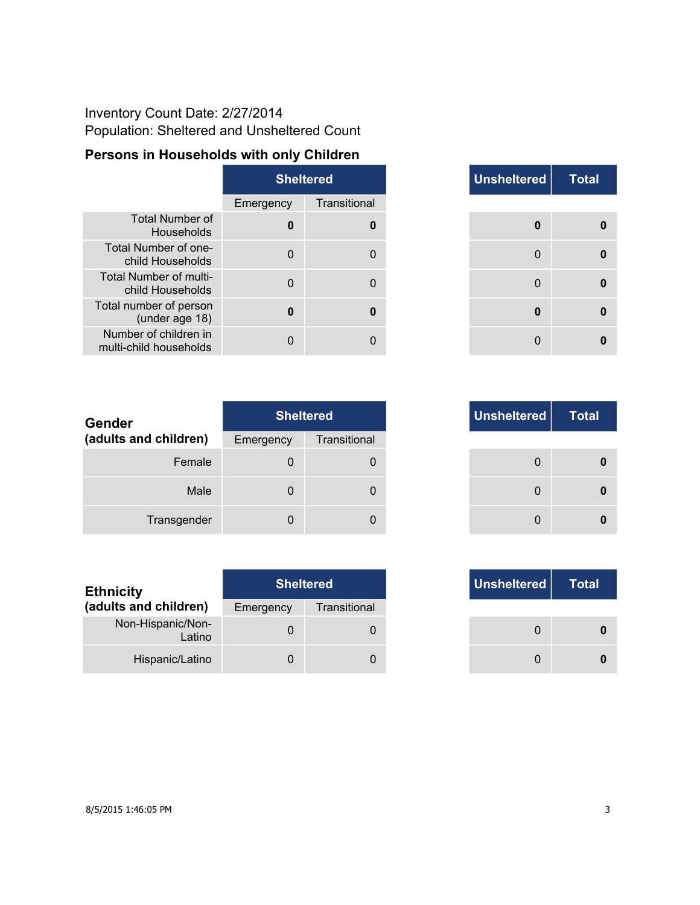## Inventory Count Date: 2/27/2014 Population: Sheltered and Unsheltered Count

## **Persons in Households with only Children**

|                                                 | <b>Sheltered</b> |              |
|-------------------------------------------------|------------------|--------------|
|                                                 | Emergency        | Transitional |
| <b>Total Number of</b><br>Households            | U                |              |
| Total Number of one-<br>child Households        | O                |              |
| Total Number of multi-<br>child Households      |                  |              |
| Total number of person<br>(under age 18)        | U                |              |
| Number of children in<br>multi-child households |                  |              |

|             | <b>Sheltered</b> | Unsheltered      | <b>Total</b> |
|-------------|------------------|------------------|--------------|
| าcy         | Transitional     |                  |              |
| $\mathbf 0$ | $\bf{0}$         | $\boldsymbol{0}$ | 0            |
| $\Omega$    | 0                | $\Omega$         | 0            |
| $\Omega$    | $\Omega$         | $\mathbf 0$      | 0            |
| $\bf{0}$    | 0                | 0                | 0            |
| O           | $\Omega$         | $\Omega$         | U            |

| Gender                |           | <b>Sheltered</b> | Unsheltered |
|-----------------------|-----------|------------------|-------------|
| (adults and children) | Emergency | Transitional     |             |
| Female                | 0         |                  | 0           |
| Male                  | 0         |                  | 0           |
| Transgender           | 0         |                  | 0           |

| <b>Ethnicity</b>            | <b>Sheltered</b> |              | Unsheltered |
|-----------------------------|------------------|--------------|-------------|
| (adults and children)       | Emergency        | Transitional |             |
| Non-Hispanic/Non-<br>Latino |                  |              |             |
| Hispanic/Latino             |                  |              |             |

|          | <b>Sheltered</b> | Unsheltered | <b>Total</b> |
|----------|------------------|-------------|--------------|
| ιсγ      | Transitional     |             |              |
| $\Omega$ | 0                |             |              |
| 0        | $\Omega$         |             |              |
|          |                  |             |              |

|     | <b>Sheltered</b> |
|-----|------------------|
| ٦CV | Transitional     |
|     |                  |
|     |                  |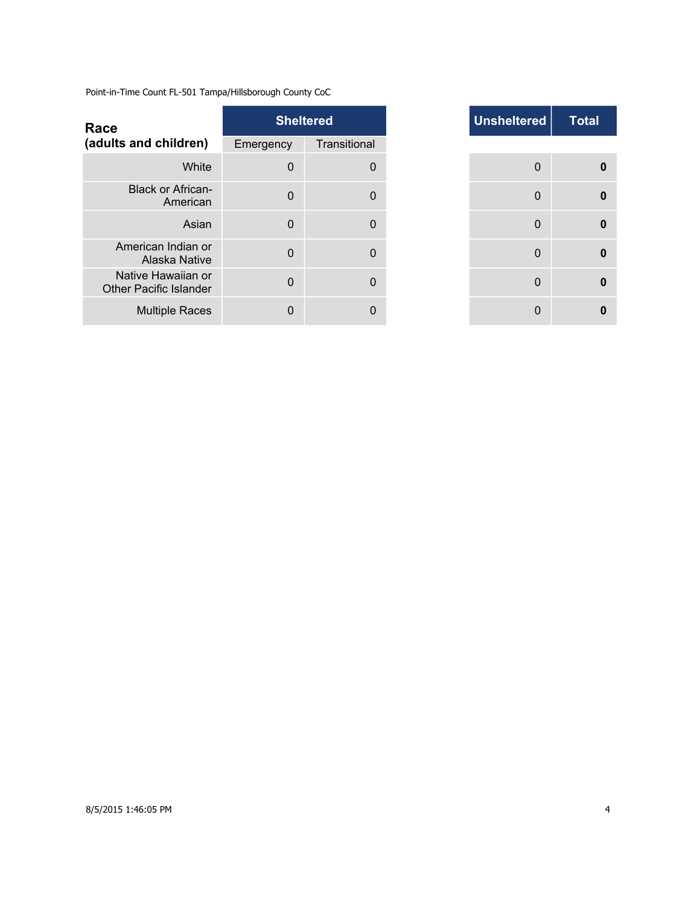| <b>Unsheltered</b><br><b>Sheltered</b><br>Race                       |
|----------------------------------------------------------------------|
| (adults and children)<br>Transitional<br>Emergency                   |
| White<br>$\mathbf 0$<br>$\mathbf 0$                                  |
| <b>Black or African-</b><br>$\Omega$<br>$\Omega$<br>American         |
| $\Omega$<br>Asian<br>0                                               |
| American Indian or<br>$\mathbf 0$<br>0<br>Alaska Native              |
| Native Hawaiian or<br>$\Omega$<br>0<br><b>Other Pacific Islander</b> |
| <b>Multiple Races</b><br>$\Omega$<br>0                               |

|             | <b>Sheltered</b> |
|-------------|------------------|
| าcy         | Transitional     |
| $\mathbf 0$ | $\mathbf 0$      |
| $\Omega$    | $\Omega$         |
| $\Omega$    | $\Omega$         |
| $\Omega$    | $\Omega$         |
| $\Omega$    | $\Omega$         |
| O           | 0                |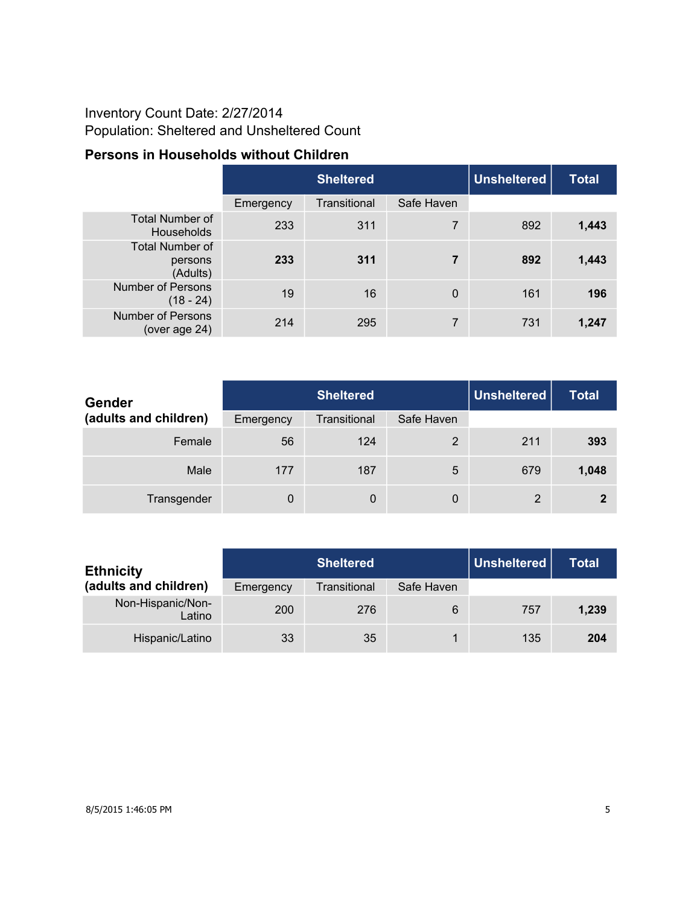## Inventory Count Date: 2/27/2014 Population: Sheltered and Unsheltered Count

## **Persons in Households without Children**

|                                               |           | <b>Sheltered</b> |            |     | <b>Total</b> |
|-----------------------------------------------|-----------|------------------|------------|-----|--------------|
|                                               | Emergency | Transitional     | Safe Haven |     |              |
| <b>Total Number of</b><br><b>Households</b>   | 233       | 311              | 7          | 892 | 1,443        |
| <b>Total Number of</b><br>persons<br>(Adults) | 233       | 311              | 7          | 892 | 1,443        |
| <b>Number of Persons</b><br>$(18 - 24)$       | 19        | 16               | $\Omega$   | 161 | 196          |
| <b>Number of Persons</b><br>(over age 24)     | 214       | 295              | 7          | 731 | 1,247        |

| <b>Gender</b>         |           | <b>Sheltered</b> |            | Unsheltered | <b>Total</b> |
|-----------------------|-----------|------------------|------------|-------------|--------------|
| (adults and children) | Emergency | Transitional     | Safe Haven |             |              |
| Female                | 56        | 124              | 2          | 211         | 393          |
| Male                  | 177       | 187              | 5          | 679         | 1,048        |
| Transgender           | 0         | 0                | 0          | 2           | 2            |

| <b>Ethnicity</b>            | <b>Sheltered</b> |              |            | Unsheltered | <b>Total</b> |
|-----------------------------|------------------|--------------|------------|-------------|--------------|
| (adults and children)       | Emergency        | Transitional | Safe Haven |             |              |
| Non-Hispanic/Non-<br>Latino | 200              | 276          | 6          | 757         | 1,239        |
| Hispanic/Latino             | 33               | 35           |            | 135         | 204          |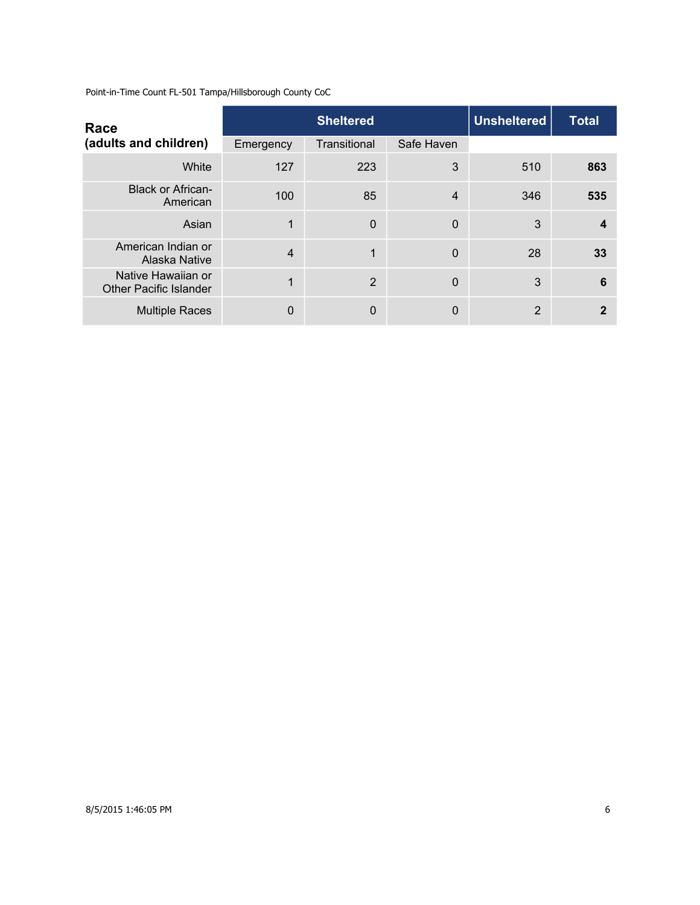| Race                                                | <b>Sheltered</b> |              |            | Unsheltered | <b>Total</b> |
|-----------------------------------------------------|------------------|--------------|------------|-------------|--------------|
| (adults and children)                               | Emergency        | Transitional | Safe Haven |             |              |
| White                                               | 127              | 223          | 3          | 510         | 863          |
| <b>Black or African-</b><br>American                | 100              | 85           | 4          | 346         | 535          |
| Asian                                               | 1                | $\Omega$     | 0          | 3           | 4            |
| American Indian or<br>Alaska Native                 | $\overline{4}$   | 1            | 0          | 28          | 33           |
| Native Hawaiian or<br><b>Other Pacific Islander</b> | 1                | 2            | 0          | 3           | 6            |
| <b>Multiple Races</b>                               | 0                | $\mathbf{0}$ | 0          | 2           | 2            |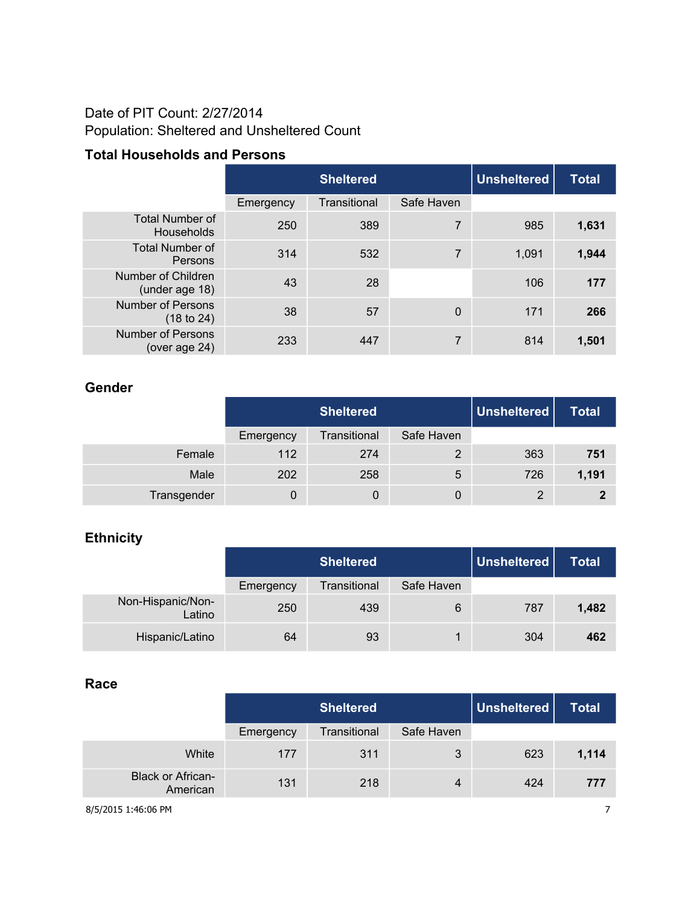## Date of PIT Count: 2/27/2014 Population: Sheltered and Unsheltered Count

### **Total Households and Persons**

|                                        |           | <b>Sheltered</b> |                | <b>Unsheltered</b> | <b>Total</b> |
|----------------------------------------|-----------|------------------|----------------|--------------------|--------------|
|                                        | Emergency | Transitional     | Safe Haven     |                    |              |
| <b>Total Number of</b><br>Households   | 250       | 389              | 7              | 985                | 1,631        |
| <b>Total Number of</b><br>Persons      | 314       | 532              | 7              | 1,091              | 1,944        |
| Number of Children<br>(under age 18)   | 43        | 28               |                | 106                | 177          |
| <b>Number of Persons</b><br>(18 to 24) | 38        | 57               | $\overline{0}$ | 171                | 266          |
| Number of Persons<br>(over age 24)     | 233       | 447              | 7              | 814                | 1,501        |

#### **Gender**

|             |           | <b>Sheltered</b> |            | Unsheltered | <b>Total</b> |
|-------------|-----------|------------------|------------|-------------|--------------|
|             | Emergency | Transitional     | Safe Haven |             |              |
| Female      | 112       | 274              |            | 363         | 751          |
| Male        | 202       | 258              | 5          | 726         | 1,191        |
| Transgender |           |                  | 0          | 2           | າ            |

## **Ethnicity**

|                             | <b>Sheltered</b> |              |            | Unsheltered | <b>Total</b> |
|-----------------------------|------------------|--------------|------------|-------------|--------------|
|                             | Emergency        | Transitional | Safe Haven |             |              |
| Non-Hispanic/Non-<br>Latino | 250              | 439          | 6          | 787         | 1,482        |
| Hispanic/Latino             | 64               | 93           |            | 304         | 462          |

#### **Race**

|                                      |           | <b>Unsheltered</b><br><b>Sheltered</b> |            |     | Total |
|--------------------------------------|-----------|----------------------------------------|------------|-----|-------|
|                                      | Emergency | Transitional                           | Safe Haven |     |       |
| White                                | 177       | 311                                    | 3          | 623 | 1,114 |
| <b>Black or African-</b><br>American | 131       | 218                                    | 4          | 424 | 777   |

8/5/2015 1:46:06 PM 7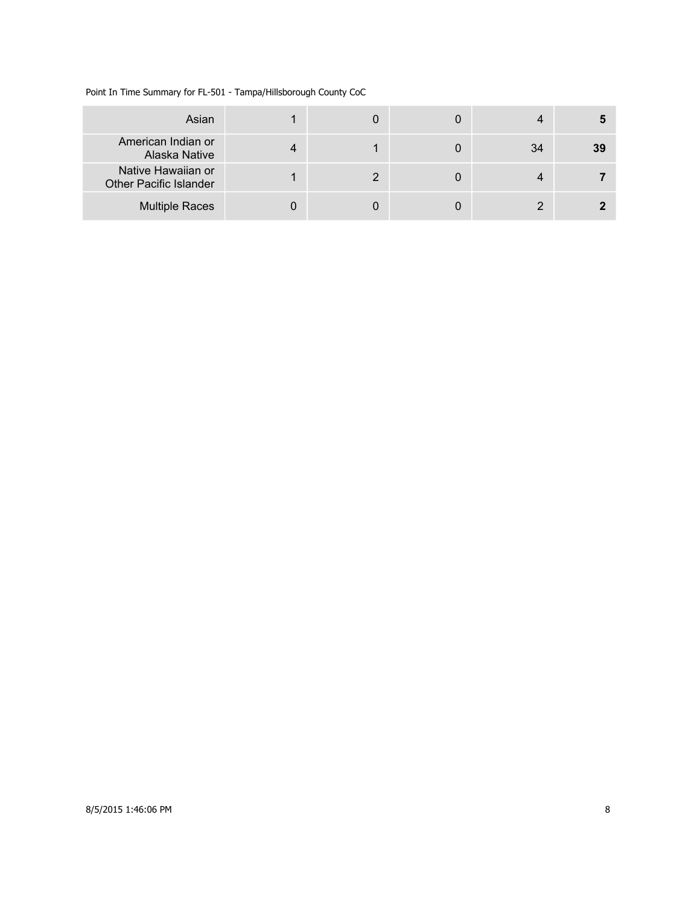Point In Time Summary for FL-501 - Tampa/Hillsborough County CoC

| Asian                                        |  |    |    |
|----------------------------------------------|--|----|----|
| American Indian or<br>Alaska Native          |  | 34 | 39 |
| Native Hawaiian or<br>Other Pacific Islander |  |    |    |
| <b>Multiple Races</b>                        |  |    |    |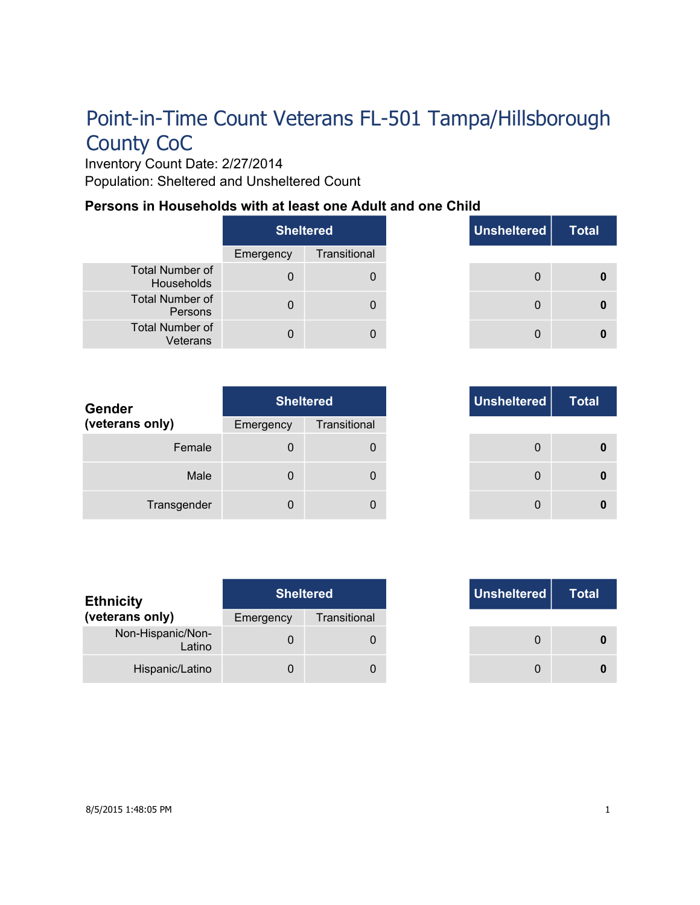Inventory Count Date: 2/27/2014 Population: Sheltered and Unsheltered Count

#### **Persons in Households with at least one Adult and one Child**

|                                      | Sheltered |              |
|--------------------------------------|-----------|--------------|
|                                      | Emergency | Transitional |
| <b>Total Number of</b><br>Households | O         |              |
| <b>Total Number of</b><br>Persons    |           |              |
| <b>Total Number of</b><br>Veterans   |           |              |

|          | <b>Sheltered</b> | Unsheltered | <b>Total</b> |
|----------|------------------|-------------|--------------|
| ٦cγ      | Transitional     |             |              |
| $\Omega$ | 0                | $\Omega$    |              |
| $\Omega$ | 0                | $\Omega$    |              |
| n        | $\Box$           |             |              |

| Gender          |           | <b>Sheltered</b> | Unsheltered |
|-----------------|-----------|------------------|-------------|
| (veterans only) | Emergency | Transitional     |             |
| Female          | 0         |                  | 0           |
| Male            | 0         | 0                | 0           |
| Transgender     | 0         | 0                | 0           |

| <b>Total</b> | Unsheltered | Sheltered     |     |
|--------------|-------------|---------------|-----|
|              |             | Transitional  | าсу |
|              | 0           | 0             | 0   |
|              | 0           | $\Omega$      | 0   |
|              | $\Omega$    | $\mathcal{L}$ | O   |

| <b>Ethnicity</b>            | <b>Sheltered</b> |              |
|-----------------------------|------------------|--------------|
| (veterans only)             | Emergency        | Transitional |
| Non-Hispanic/Non-<br>Latino |                  |              |
| Hispanic/Latino             |                  |              |

|     | <b>Sheltered</b> |
|-----|------------------|
| ٦CV | Transitional     |
| 0   |                  |
|     |                  |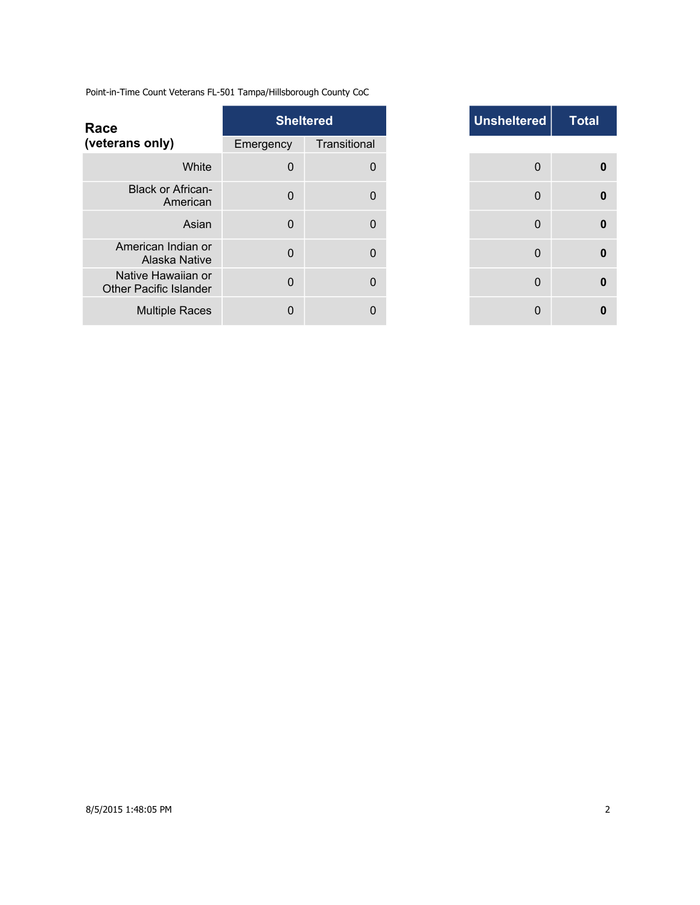| Transitional<br>Emergency<br>White<br>$\mathbf 0$<br>$\Omega$<br><b>Black or African-</b><br>$\mathbf 0$<br>$\Omega$<br>American<br>$\mathbf 0$<br>Asian<br>$\Omega$<br>American Indian or<br>$\mathbf 0$<br>$\mathbf{0}$<br>Alaska Native<br>Native Hawaiian or<br>$\mathbf 0$<br>$\Omega$<br><b>Other Pacific Islander</b><br><b>Multiple Races</b><br>$\mathbf 0$<br>0 | Race            | <b>Sheltered</b> | <b>Unsheltered</b> |
|---------------------------------------------------------------------------------------------------------------------------------------------------------------------------------------------------------------------------------------------------------------------------------------------------------------------------------------------------------------------------|-----------------|------------------|--------------------|
|                                                                                                                                                                                                                                                                                                                                                                           | (veterans only) |                  |                    |
|                                                                                                                                                                                                                                                                                                                                                                           |                 |                  | $\Omega$           |
| $\mathbf{0}$<br>$\Omega$<br>$\Omega$<br>0                                                                                                                                                                                                                                                                                                                                 |                 |                  | $\mathbf 0$        |
|                                                                                                                                                                                                                                                                                                                                                                           |                 |                  |                    |
|                                                                                                                                                                                                                                                                                                                                                                           |                 |                  |                    |
|                                                                                                                                                                                                                                                                                                                                                                           |                 |                  |                    |
|                                                                                                                                                                                                                                                                                                                                                                           |                 |                  |                    |

| <b>Sheltered</b> |              | Unsheltered | <b>Total</b>     |
|------------------|--------------|-------------|------------------|
| าcy              | Transitional |             |                  |
| $\Omega$         | $\mathbf 0$  | 0           | 0                |
| $\Omega$         | $\mathbf{0}$ | 0           | $\boldsymbol{0}$ |
| $\Omega$         | $\mathbf{0}$ | $\mathbf 0$ | $\bf{0}$         |
| $\Omega$         | $\Omega$     | 0           | 0                |
| $\Omega$         | $\Omega$     | $\mathbf 0$ | 0                |
| O                | 0            | 0           | 0                |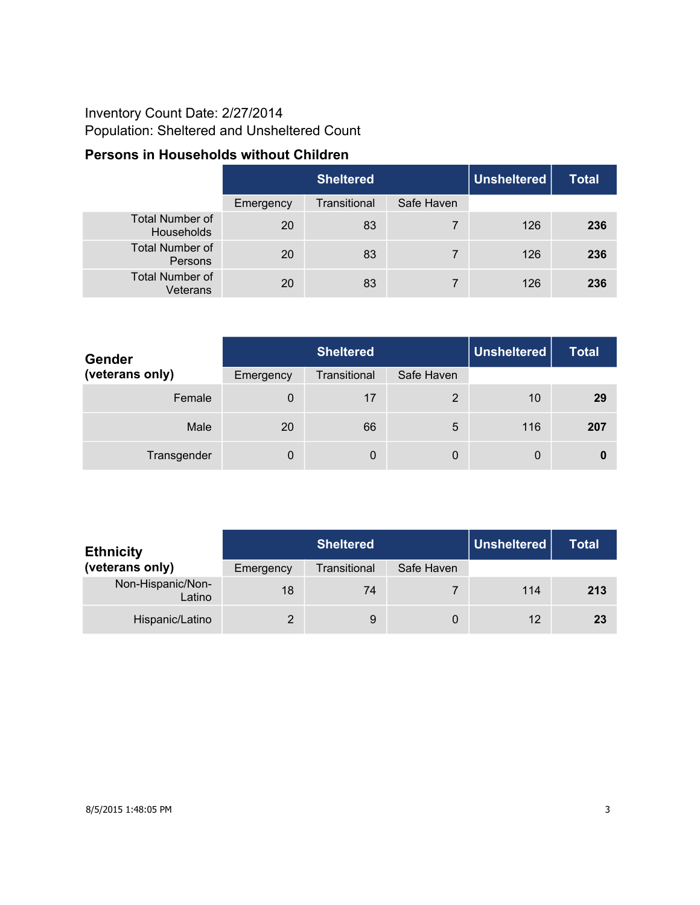## Inventory Count Date: 2/27/2014 Population: Sheltered and Unsheltered Count

## **Persons in Households without Children**

|                                      | <b>Sheltered</b> |              |            | Unsheltered | <b>Total</b> |
|--------------------------------------|------------------|--------------|------------|-------------|--------------|
|                                      | Emergency        | Transitional | Safe Haven |             |              |
| <b>Total Number of</b><br>Households | 20               | 83           | 7          | 126         | 236          |
| <b>Total Number of</b><br>Persons    | 20               | 83           | 7          | 126         | 236          |
| <b>Total Number of</b><br>Veterans   | 20               | 83           | 7          | 126         | 236          |

| <b>Gender</b>   | <b>Sheltered</b> |              |            | <b>Unsheltered</b> | <b>Total</b> |
|-----------------|------------------|--------------|------------|--------------------|--------------|
| (veterans only) | Emergency        | Transitional | Safe Haven |                    |              |
| Female          | 0                | 17           | 2          | 10                 | 29           |
| Male            | 20               | 66           | 5          | 116                | 207          |
| Transgender     | 0                | 0            | 0          | 0                  | 0            |

| <b>Ethnicity</b>            | <b>Sheltered</b> |              |            | Unsheltered | Total |
|-----------------------------|------------------|--------------|------------|-------------|-------|
| (veterans only)             | Emergency        | Transitional | Safe Haven |             |       |
| Non-Hispanic/Non-<br>Latino | 18               | 74           |            | 114         | 213   |
| Hispanic/Latino             |                  | 9            | 0          | 12          | 23    |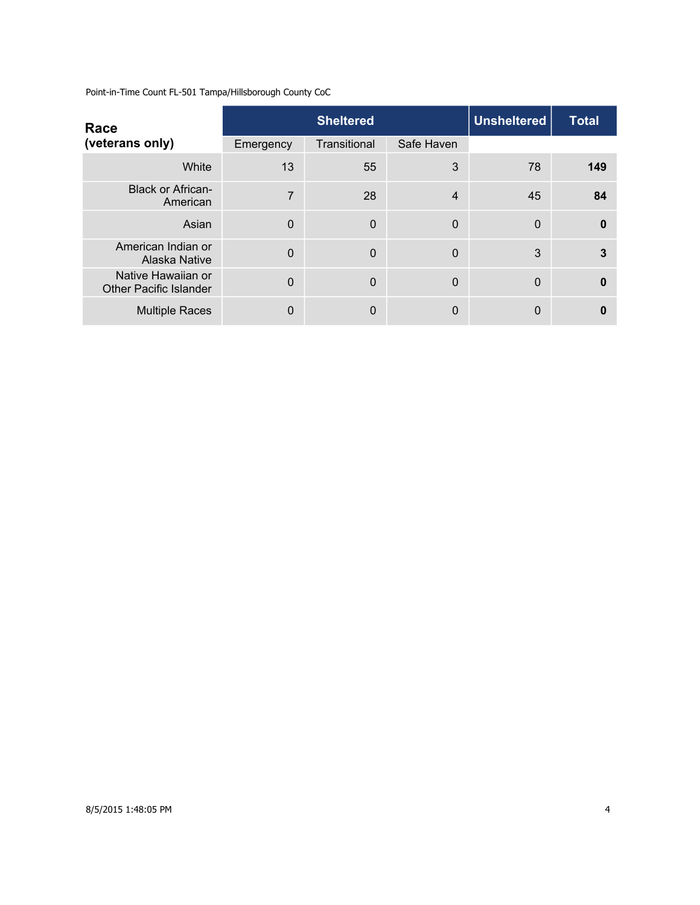| Race                                                |                | <b>Sheltered</b> | Unsheltered | <b>Total</b> |              |
|-----------------------------------------------------|----------------|------------------|-------------|--------------|--------------|
| (veterans only)                                     | Emergency      | Transitional     | Safe Haven  |              |              |
| White                                               | 13             | 55               | 3           | 78           | 149          |
| <b>Black or African-</b><br>American                | $\overline{7}$ | 28               | 4           | 45           | 84           |
| Asian                                               | $\overline{0}$ | $\Omega$         | 0           | $\Omega$     | $\mathbf{0}$ |
| American Indian or<br>Alaska Native                 | $\Omega$       | $\Omega$         | 0           | 3            | 3            |
| Native Hawaiian or<br><b>Other Pacific Islander</b> | 0              | $\mathbf 0$      | 0           | $\Omega$     | 0            |
| <b>Multiple Races</b>                               | 0              | $\Omega$         | 0           | $\mathbf 0$  | 0            |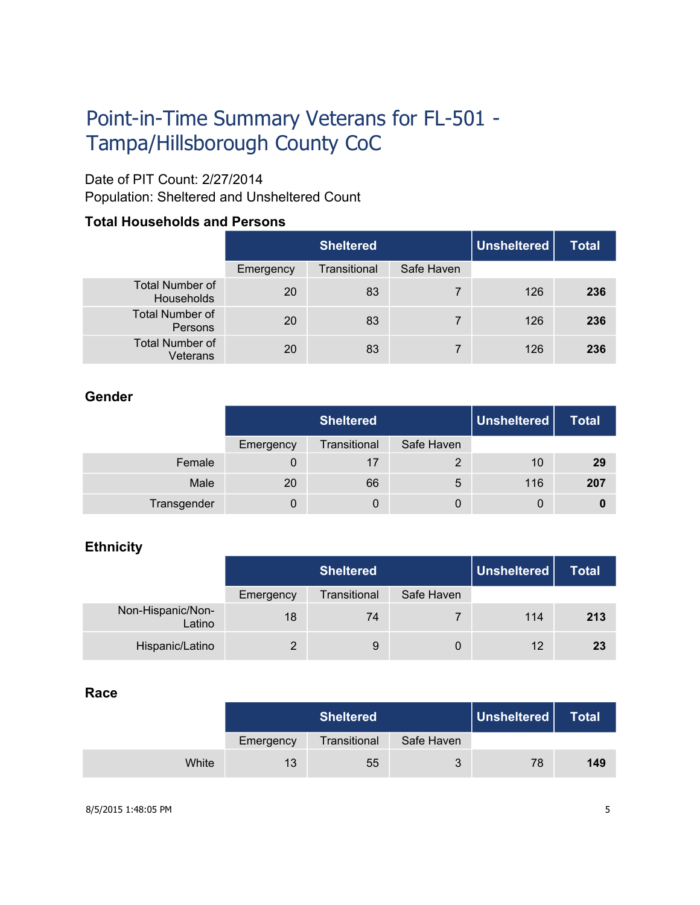# Point-in-Time Summary Veterans for FL-501 - Tampa/Hillsborough County CoC

## Date of PIT Count: 2/27/2014

Population: Sheltered and Unsheltered Count

### **Total Households and Persons**

|                                      |           | <b>Sheltered</b> |            | Unsheltered | <b>Total</b> |
|--------------------------------------|-----------|------------------|------------|-------------|--------------|
|                                      | Emergency | Transitional     | Safe Haven |             |              |
| <b>Total Number of</b><br>Households | 20        | 83               |            | 126         | 236          |
| <b>Total Number of</b><br>Persons    | 20        | 83               | 7          | 126         | 236          |
| <b>Total Number of</b><br>Veterans   | 20        | 83               |            | 126         | 236          |

#### **Gender**

|             |           | <b>Sheltered</b> |            | $\mid$ Unsheltered $\mid$ | <b>Total</b> |
|-------------|-----------|------------------|------------|---------------------------|--------------|
|             | Emergency | Transitional     | Safe Haven |                           |              |
| Female      |           | 17               |            | 10                        | 29           |
| Male        | 20        | 66               | 5          | 116                       | 207          |
| Transgender | Ü         | 0                | 0          | 0                         |              |

#### **Ethnicity**

|                             |           | <b>Sheltered</b> |            | Unsheltered | Total |
|-----------------------------|-----------|------------------|------------|-------------|-------|
|                             | Emergency | Transitional     | Safe Haven |             |       |
| Non-Hispanic/Non-<br>Latino | 18        | 74               |            | 114         | 213   |
| Hispanic/Latino             | 2         | 9                | 0          | 12          | 23    |

#### **Race**

|       |           | <b>Sheltered</b> |            | Unsheltered | <b>Total</b> |
|-------|-----------|------------------|------------|-------------|--------------|
|       | Emergency | Transitional     | Safe Haven |             |              |
| White | 13        | 55               | 3          | 78          | 149          |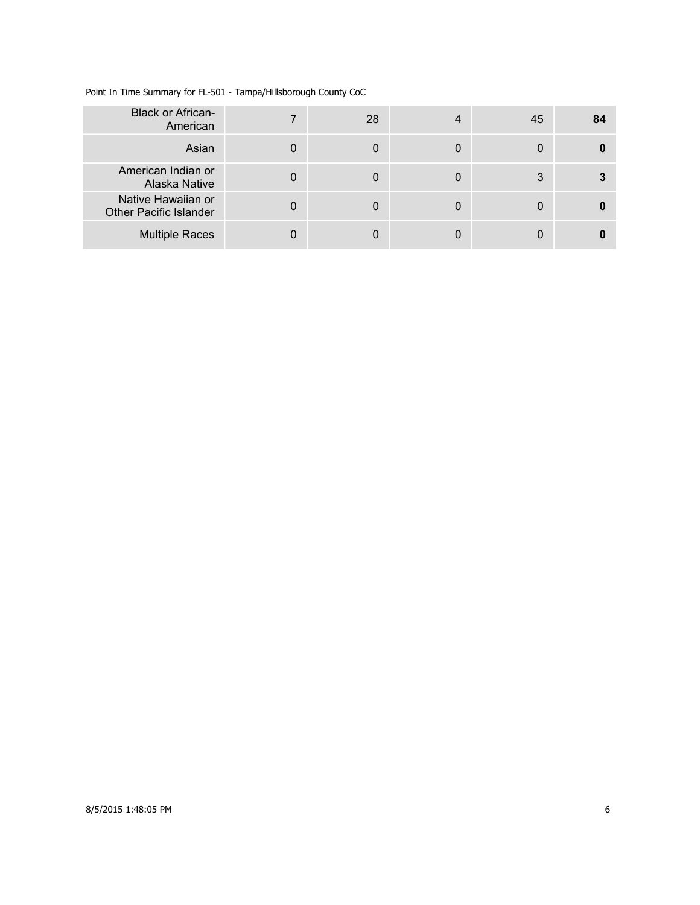| <b>Black or African-</b><br>American                |   | 28 | $\overline{4}$ | 45 | 84 |
|-----------------------------------------------------|---|----|----------------|----|----|
| Asian                                               | 0 |    | 0              | 0  |    |
| American Indian or<br><b>Alaska Native</b>          |   |    | 0              | 3  |    |
| Native Hawaiian or<br><b>Other Pacific Islander</b> | 0 |    | 0              | 0  |    |
| <b>Multiple Races</b>                               |   |    |                |    |    |

Point In Time Summary for FL-501 - Tampa/Hillsborough County CoC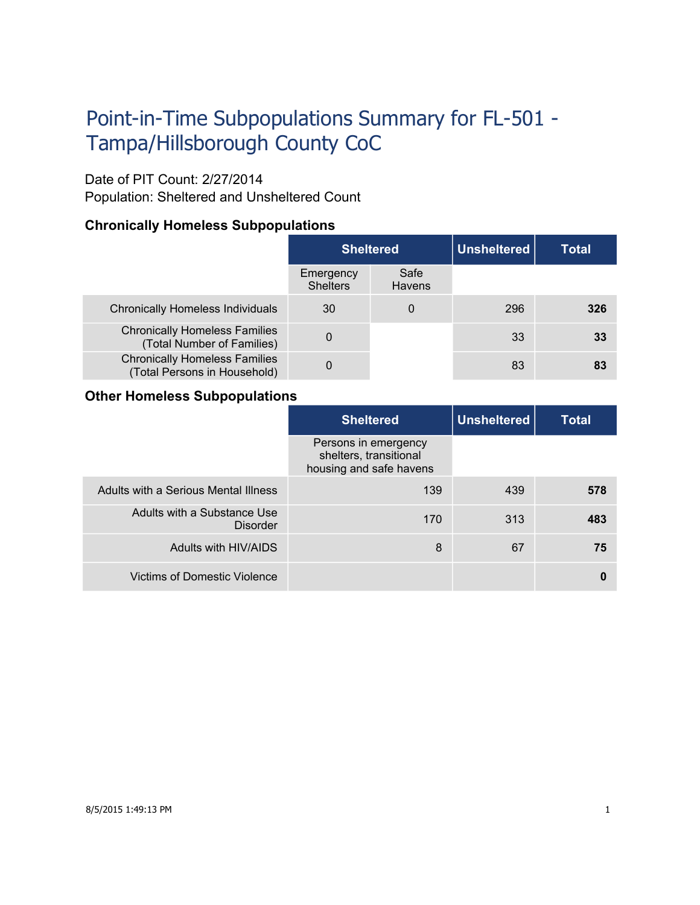# Point-in-Time Subpopulations Summary for FL-501 - Tampa/Hillsborough County CoC

#### Date of PIT Count: 2/27/2014

Population: Sheltered and Unsheltered Count

#### **Chronically Homeless Subpopulations**

|                                                                      | <b>Sheltered</b>             |                | <b>Unsheltered</b> | Total |
|----------------------------------------------------------------------|------------------------------|----------------|--------------------|-------|
|                                                                      | Emergency<br><b>Shelters</b> | Safe<br>Havens |                    |       |
| <b>Chronically Homeless Individuals</b>                              | 30                           |                | 296                | 326   |
| <b>Chronically Homeless Families</b><br>(Total Number of Families)   | 0                            |                | 33                 | 33    |
| <b>Chronically Homeless Families</b><br>(Total Persons in Household) | 0                            |                | 83                 | 83    |

#### **Other Homeless Subpopulations**

|                                         | <b>Sheltered</b>                                                          | <b>Unsheltered</b> | <b>Total</b> |
|-----------------------------------------|---------------------------------------------------------------------------|--------------------|--------------|
|                                         | Persons in emergency<br>shelters, transitional<br>housing and safe havens |                    |              |
| Adults with a Serious Mental Illness    | 139                                                                       | 439                | 578          |
| Adults with a Substance Use<br>Disorder | 170                                                                       | 313                | 483          |
| Adults with HIV/AIDS                    | 8                                                                         | 67                 | 75           |
| <b>Victims of Domestic Violence</b>     |                                                                           |                    | 0            |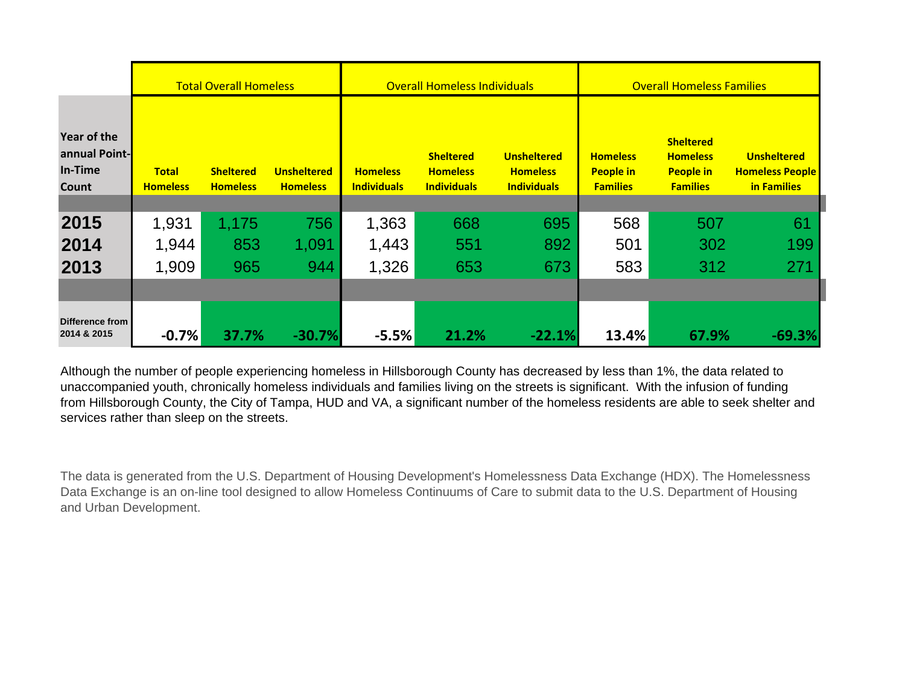|                                                  |                                 | <b>Total Overall Homeless</b>       |                                       |                                       | <b>Overall Homeless Individuals</b>                       |                                                             | <b>Overall Homeless Families</b>                       |                                                                            |                                                             |
|--------------------------------------------------|---------------------------------|-------------------------------------|---------------------------------------|---------------------------------------|-----------------------------------------------------------|-------------------------------------------------------------|--------------------------------------------------------|----------------------------------------------------------------------------|-------------------------------------------------------------|
| Year of the<br>annual Point-<br>In-Time<br>Count | <b>Total</b><br><b>Homeless</b> | <b>Sheltered</b><br><b>Homeless</b> | <b>Unsheltered</b><br><b>Homeless</b> | <b>Homeless</b><br><b>Individuals</b> | <b>Sheltered</b><br><b>Homeless</b><br><b>Individuals</b> | <b>Unsheltered</b><br><b>Homeless</b><br><b>Individuals</b> | <b>Homeless</b><br><b>People in</b><br><b>Families</b> | <b>Sheltered</b><br><b>Homeless</b><br><b>People in</b><br><b>Families</b> | <b>Unsheltered</b><br><b>Homeless People</b><br>in Families |
| 2015                                             | 1,931                           | 1,175                               | 756                                   | 1,363                                 | 668                                                       | 695                                                         | 568                                                    | 507                                                                        | 61                                                          |
| 2014                                             | 1,944                           | 853                                 | 1,091                                 | 1,443                                 | 551                                                       | 892                                                         | 501                                                    | 302                                                                        | 199                                                         |
| 2013                                             | 1,909                           | 965                                 | 944                                   | 1,326                                 | 653                                                       | 673                                                         | 583                                                    | 312                                                                        | 271                                                         |
|                                                  |                                 |                                     |                                       |                                       |                                                           |                                                             |                                                        |                                                                            |                                                             |
| Difference from<br>2014 & 2015                   | $-0.7%$                         | 37.7%                               | $-30.7%$                              | $-5.5%$                               | 21.2%                                                     | $-22.1%$                                                    | 13.4%                                                  | 67.9%                                                                      | $-69.3%$                                                    |

Although the number of people experiencing homeless in Hillsborough County has decreased by less than 1%, the data related to unaccompanied youth, chronically homeless individuals and families living on the streets is significant. With the infusion of funding from Hillsborough County, the City of Tampa, HUD and VA, a significant number of the homeless residents are able to seek shelter and services rather than sleep on the streets.

The data is generated from the U.S. Department of Housing Development's Homelessness Data Exchange (HDX). The Homelessness Data Exchange is an on-line tool designed to allow Homeless Continuums of Care to submit data to the U.S. Department of Housing and Urban Development.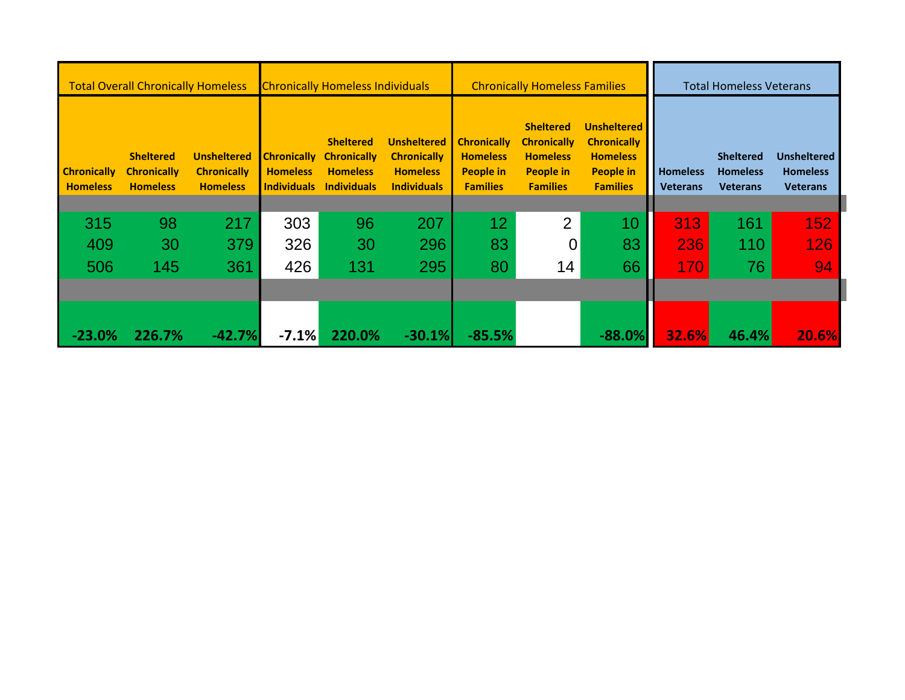| <b>Chronically Homeless Individuals</b><br><b>Total Overall Chronically Homeless</b> |                                                           |                                                             | <b>Chronically Homeless Families</b>                        |                                                                                 |                                                                                   |                                                                              | <b>Total Homeless Veterans</b>                                                                   |                                                                                                    |                                    |                                                        |                                                          |
|--------------------------------------------------------------------------------------|-----------------------------------------------------------|-------------------------------------------------------------|-------------------------------------------------------------|---------------------------------------------------------------------------------|-----------------------------------------------------------------------------------|------------------------------------------------------------------------------|--------------------------------------------------------------------------------------------------|----------------------------------------------------------------------------------------------------|------------------------------------|--------------------------------------------------------|----------------------------------------------------------|
| <b>Chronically</b><br><b>Homeless</b>                                                | <b>Sheltered</b><br><b>Chronically</b><br><b>Homeless</b> | <b>Unsheltered</b><br><b>Chronically</b><br><b>Homeless</b> | <b>Chronically</b><br><b>Homeless</b><br><b>Individuals</b> | <b>Sheltered</b><br><b>Chronically</b><br><b>Homeless</b><br><b>Individuals</b> | <b>Unsheltered</b><br><b>Chronically</b><br><b>Homeless</b><br><b>Individuals</b> | <b>Chronically</b><br><b>Homeless</b><br><b>People in</b><br><b>Families</b> | <b>Sheltered</b><br><b>Chronically</b><br><b>Homeless</b><br><b>People in</b><br><b>Families</b> | <b>Unsheltered</b><br><b>Chronically</b><br><b>Homeless</b><br><b>People in</b><br><b>Families</b> | <b>Homeless</b><br><b>Veterans</b> | <b>Sheltered</b><br><b>Homeless</b><br><b>Veterans</b> | <b>Unsheltered</b><br><b>Homeless</b><br><b>Veterans</b> |
|                                                                                      |                                                           |                                                             |                                                             |                                                                                 |                                                                                   |                                                                              |                                                                                                  |                                                                                                    |                                    |                                                        |                                                          |
| 315                                                                                  | 98                                                        | 217                                                         | 303                                                         | 96                                                                              | 207                                                                               | 12 <sub>2</sub>                                                              | $\overline{2}$                                                                                   | 10                                                                                                 | 313                                | 161                                                    | 152                                                      |
| 409                                                                                  | 30                                                        | 379                                                         | 326                                                         | 30                                                                              | 296                                                                               | 83                                                                           | $\overline{0}$                                                                                   | 83                                                                                                 | 236                                | 110                                                    | 126                                                      |
| 506                                                                                  | 145                                                       | 361                                                         | 426                                                         | 131                                                                             | 295                                                                               | 80                                                                           | 14                                                                                               | 66                                                                                                 | 170                                | 76                                                     | 94                                                       |
|                                                                                      |                                                           |                                                             |                                                             |                                                                                 |                                                                                   |                                                                              |                                                                                                  |                                                                                                    |                                    |                                                        |                                                          |
| $-23.0%$                                                                             | 226.7%                                                    | $-42.7%$                                                    | $-7.1%$                                                     | 220.0%                                                                          | $-30.1%$                                                                          | $-85.5%$                                                                     |                                                                                                  | $-88.0%$                                                                                           | 32.6%                              | 46.4%                                                  | 20.6%                                                    |